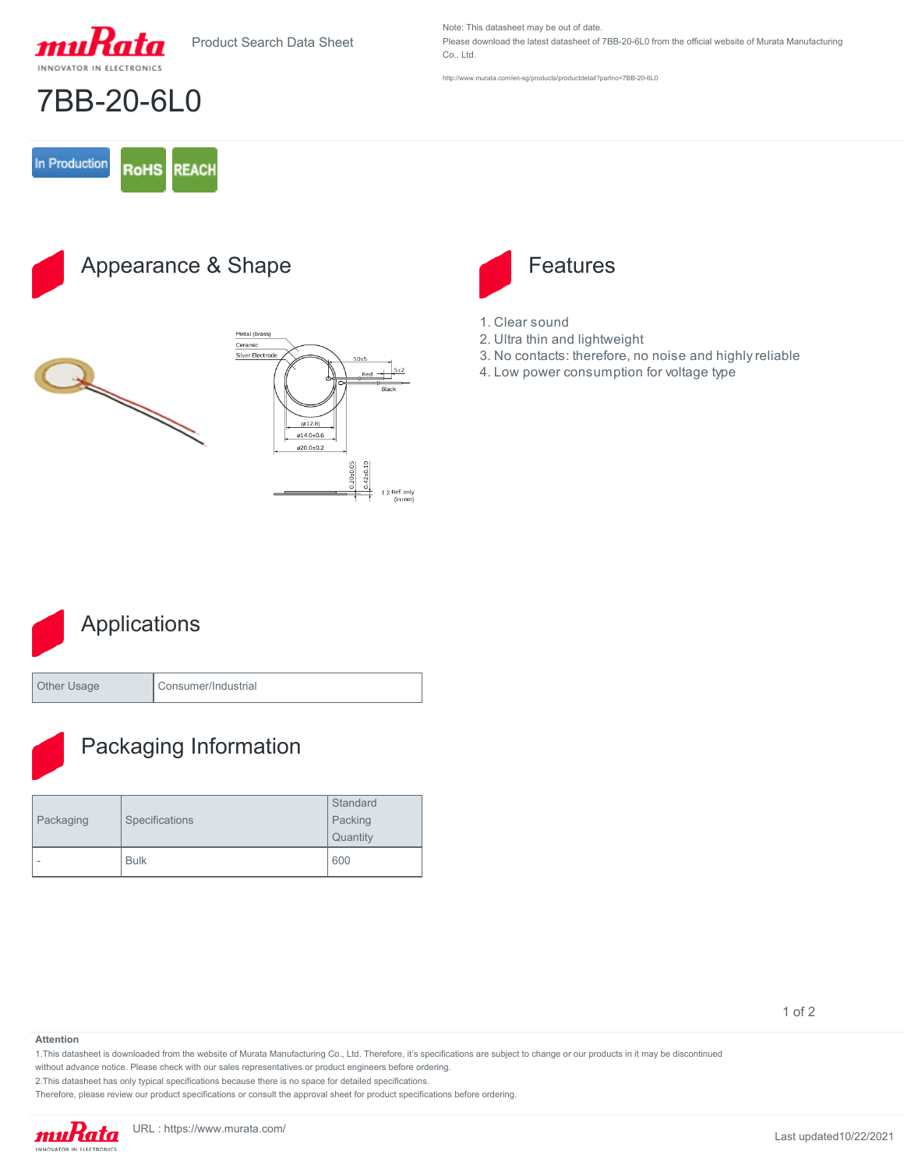



7BB-20-6L0

Note: This datasheet may be out of date. Please download the latest datasheet of 7BB-20-6L0 from the official website of Murata Manufacturing Co., Ltd.

<http://www.murata.com/en-sg/products/productdetail?partno=7BB-20-6L0>

### In Production **RoHS REACH**

Appearance & Shape





- 1. Clear sound
- 2. Ultra thin and lightweight
- 3. No contacts: therefore, no noise and highly reliable
- 4. Low power consumption for voltage type



Other Usage Consumer/Industrial



## Packaging Information

| Packaging | Specifications | Standard |
|-----------|----------------|----------|
|           |                | Packing  |
|           |                | Quantity |
| ۰         | <b>Bulk</b>    | 600      |

### **Attention**

1.This datasheet is downloaded from the website of Murata Manufacturing Co., Ltd. Therefore, it's specifications are subject to change or our products in it may be discontinued

without advance notice. Please check with our sales representatives or product engineers before ordering.

2.This datasheet has only typical specifications because there is no space for detailed specifications.

Therefore, please review our product specifications or consult the approval sheet for product specifications before ordering.